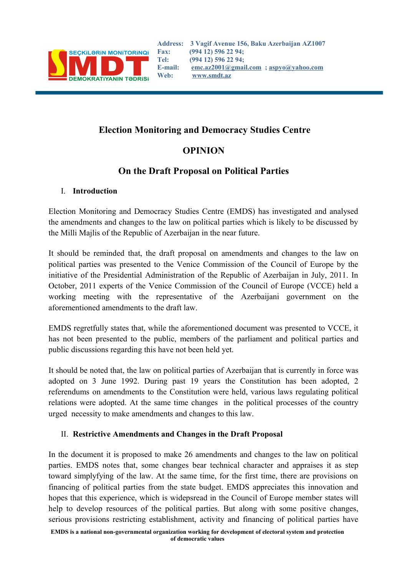

# **Election Monitoring and Democracy Studies Centre**

# **OPINION**

# **On the Draft Proposal on Political Parties**

### I. **Introduction**

Election Monitoring and Democracy Studies Centre (EMDS) has investigated and analysed the amendments and changes to the law on political parties which is likely to be discussed by the Milli Majlis of the Republic of Azerbaijan in the near future.

It should be reminded that, the draft proposal on amendments and changes to the law on political parties was presented to the Venice Commission of the Council of Europe by the initiative of the Presidential Administration of the Republic of Azerbaijan in July, 2011. In October, 2011 experts of the Venice Commission of the Council of Europe (VCCE) held a working meeting with the representative of the Azerbaijani government on the aforementioned amendments to the draft law.

EMDS regretfully states that, while the aforementioned document was presented to VCCE, it has not been presented to the public, members of the parliament and political parties and public discussions regarding this have not been held yet.

It should be noted that, the law on political parties of Azerbaijan that is currently in force was adopted on 3 June 1992. During past 19 years the Constitution has been adopted, 2 referendums on amendments to the Constitution were held, various laws regulating political relations were adopted. At the same time changes in the political processes of the country urged necessity to make amendments and changes to this law.

### II. **Restrictive Amendments and Changes in the Draft Proposal**

In the document it is proposed to make 26 amendments and changes to the law on political parties. EMDS notes that, some changes bear technical character and appraises it as step toward simplyfying of the law. At the same time, for the first time, there are provisions on financing of political parties from the state budget. EMDS appreciates this innovation and hopes that this experience, which is widepsread in the Council of Europe member states will help to develop resources of the political parties. But along with some positive changes, serious provisions restricting establishment, activity and financing of political parties have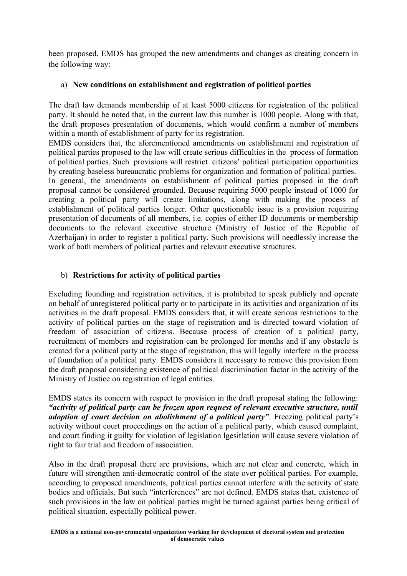been proposed. EMDS has grouped the new amendments and changes as creating concern in the following way:

#### a) **New conditions on establishment and registration of political parties**

The draft law demands membership of at least 5000 citizens for registration of the political party. It should be noted that, in the current law this number is 1000 people. Along with that, the draft proposes presentation of documents, which would confirm a number of members within a month of establishment of party for its registration.

EMDS considers that, the aforementioned amendments on establishment and registration of political parties proposed to the law will create serious difficulties in the process of formation of political parties. Such provisions will restrict citizens' political participation opportunities by creating baseless bureaucratic problems for organization and formation of political parties. In general, the amendments on establishment of political parties proposed in the draft proposal cannot be considered grounded. Because requiring 5000 people instead of 1000 for creating a political party will create limitations, along with making the process of establishment of political parties longer. Other questionable issue is a provision requiring presentation of documents of all members, i.e. copies of either ID documents or membership documents to the relevant executive structure (Ministry of Justice of the Republic of Azerbaijan) in order to register a political party. Such provisions will needlessly increase the work of both members of political parties and relevant executive structures.

#### b) **Restrictions for activity of political parties**

Excluding founding and registration activities, it is prohibited to speak publicly and operate on behalf of unregistered political party or to participate in its activities and organization of its activities in the draft proposal. EMDS considers that, it will create serious restrictions to the activity of political parties on the stage of registration and is directed toward violation of freedom of association of citizens. Because process of creation of a political party, recruitment of members and registration can be prolonged for months and if any obstacle is created for a political party at the stage of registration, this will legally interfere in the process of foundation of a political party. EMDS considers it necessary to remove this provision from the draft proposal considering existence of political discrimination factor in the activity of the Ministry of Justice on registration of legal entities.

EMDS states its concern with respect to provision in the draft proposal stating the following: *"activity of political party can be frozen upon request of relevant executive structure, until adoption of court decision on abolishment of a political party"*. Freezing political party's activity without court proceedings on the action of a political party, which caused complaint, and court finding it guilty for violation of legislation lgesitlation will cause severe violation of right to fair trial and freedom of association.

Also in the draft proposal there are provisions, which are not clear and concrete, which in future will strengthen anti-democratic control of the state over political parties. For example, according to proposed amendments, political parties cannot interfere with the activity of state bodies and officials. But such "interferences" are not defined. EMDS states that, existence of such provisions in the law on political parties might be turned against parties being critical of political situation, especially political power.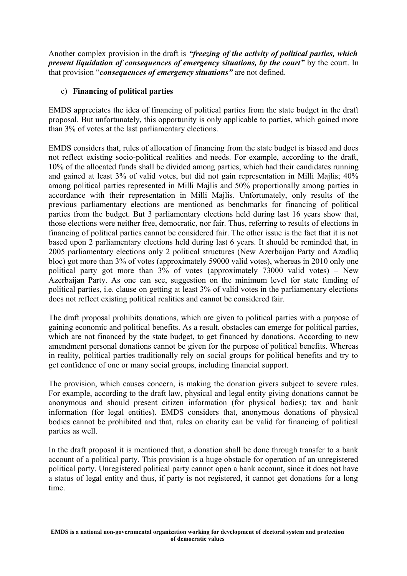Another complex provision in the draft is *"freezing of the activity of political parties, which prevent liquidation of consequences of emergency situations, by the court"* by the court. In that provision "*consequences of emergency situations"* are not defined.

#### c) **Financing of political parties**

EMDS appreciates the idea of financing of political parties from the state budget in the draft proposal. But unfortunately, this opportunity is only applicable to parties, which gained more than 3% of votes at the last parliamentary elections.

EMDS considers that, rules of allocation of financing from the state budget is biased and does not reflect existing socio-political realities and needs. For example, according to the draft, 10% of the allocated funds shall be divided among parties, which had their candidates running and gained at least 3% of valid votes, but did not gain representation in Milli Majlis; 40% among political parties represented in Milli Majlis and 50% proportionally among parties in accordance with their representation in Milli Majlis. Unfortunately, only results of the previous parliamentary elections are mentioned as benchmarks for financing of political parties from the budget. But 3 parliamentary elections held during last 16 years show that, those elections were neither free, democratic, nor fair. Thus, referring to results of elections in financing of political parties cannot be considered fair. The other issue is the fact that it is not based upon 2 parliamentary elections held during last 6 years. It should be reminded that, in 2005 parliamentary elections only 2 political structures (New Azerbaijan Party and Azadliq bloc) got more than 3% of votes (approximately 59000 valid votes), whereas in 2010 only one political party got more than 3% of votes (approximately 73000 valid votes) – New Azerbaijan Party. As one can see, suggestion on the minimum level for state funding of political parties, i.e. clause on getting at least 3% of valid votes in the parliamentary elections does not reflect existing political realities and cannot be considered fair.

The draft proposal prohibits donations, which are given to political parties with a purpose of gaining economic and political benefits. As a result, obstacles can emerge for political parties, which are not financed by the state budget, to get financed by donations. According to new amendment personal donations cannot be given for the purpose of political benefits. Whereas in reality, political parties traditionally rely on social groups for political benefits and try to get confidence of one or many social groups, including financial support.

The provision, which causes concern, is making the donation givers subject to severe rules. For example, according to the draft law, physical and legal entity giving donations cannot be anonymous and should present citizen information (for physical bodies); tax and bank information (for legal entities). EMDS considers that, anonymous donations of physical bodies cannot be prohibited and that, rules on charity can be valid for financing of political parties as well.

In the draft proposal it is mentioned that, a donation shall be done through transfer to a bank account of a political party. This provision is a huge obstacle for operation of an unregistered political party. Unregistered political party cannot open a bank account, since it does not have a status of legal entity and thus, if party is not registered, it cannot get donations for a long time.